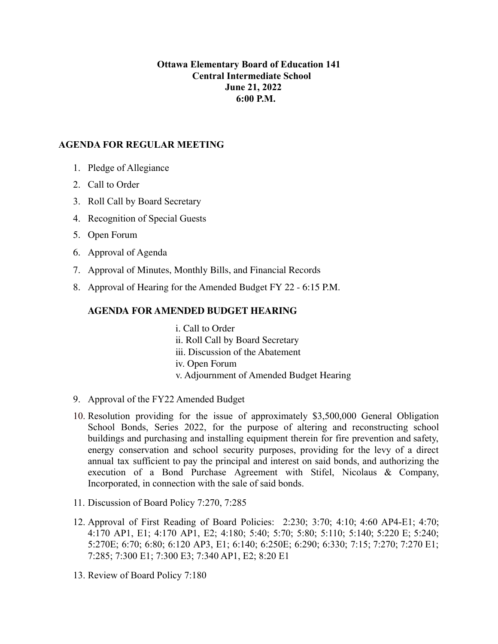## **Ottawa Elementary Board of Education 141 Central Intermediate School June 21, 2022 6:00 P.M.**

## **AGENDA FOR REGULAR MEETING**

- 1. Pledge of Allegiance
- 2. Call to Order
- 3. Roll Call by Board Secretary
- 4. Recognition of Special Guests
- 5. Open Forum
- 6. Approval of Agenda
- 7. Approval of Minutes, Monthly Bills, and Financial Records
- 8. Approval of Hearing for the Amended Budget FY 22 6:15 P.M.

## **AGENDA FOR AMENDED BUDGET HEARING**

- i. Call to Order ii. Roll Call by Board Secretary iii. Discussion of the Abatement iv. Open Forum v. Adjournment of Amended Budget Hearing
- 9. Approval of the FY22 Amended Budget
- 10. Resolution providing for the issue of approximately \$3,500,000 General Obligation School Bonds, Series 2022, for the purpose of altering and reconstructing school buildings and purchasing and installing equipment therein for fire prevention and safety, energy conservation and school security purposes, providing for the levy of a direct annual tax sufficient to pay the principal and interest on said bonds, and authorizing the execution of a Bond Purchase Agreement with Stifel, Nicolaus & Company, Incorporated, in connection with the sale of said bonds.
- 11. Discussion of Board Policy 7:270, 7:285
- 12. Approval of First Reading of Board Policies: 2:230; 3:70; 4:10; 4:60 AP4-E1; 4:70; 4:170 AP1, E1; 4:170 AP1, E2; 4:180; 5:40; 5:70; 5:80; 5:110; 5:140; 5:220 E; 5:240; 5:270E; 6:70; 6:80; 6:120 AP3, E1; 6:140; 6:250E; 6:290; 6:330; 7:15; 7:270; 7:270 E1; 7:285; 7:300 E1; 7:300 E3; 7:340 AP1, E2; 8:20 E1
- 13. Review of Board Policy 7:180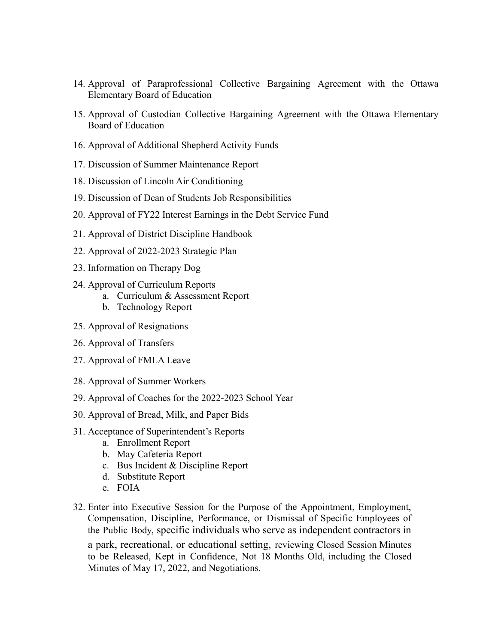- 14. Approval of Paraprofessional Collective Bargaining Agreement with the Ottawa Elementary Board of Education
- 15. Approval of Custodian Collective Bargaining Agreement with the Ottawa Elementary Board of Education
- 16. Approval of Additional Shepherd Activity Funds
- 17. Discussion of Summer Maintenance Report
- 18. Discussion of Lincoln Air Conditioning
- 19. Discussion of Dean of Students Job Responsibilities
- 20. Approval of FY22 Interest Earnings in the Debt Service Fund
- 21. Approval of District Discipline Handbook
- 22. Approval of 2022-2023 Strategic Plan
- 23. Information on Therapy Dog
- 24. Approval of Curriculum Reports
	- a. Curriculum & Assessment Report
	- b. Technology Report
- 25. Approval of Resignations
- 26. Approval of Transfers
- 27. Approval of FMLA Leave
- 28. Approval of Summer Workers
- 29. Approval of Coaches for the 2022-2023 School Year
- 30. Approval of Bread, Milk, and Paper Bids
- 31. Acceptance of Superintendent's Reports
	- a. Enrollment Report
	- b. May Cafeteria Report
	- c. Bus Incident & Discipline Report
	- d. Substitute Report
	- e. FOIA
- 32. Enter into Executive Session for the Purpose of the Appointment, Employment, Compensation, Discipline, Performance, or Dismissal of Specific Employees of the Public Body, specific individuals who serve as independent contractors in a park, recreational, or educational setting, reviewing Closed Session Minutes to be Released, Kept in Confidence, Not 18 Months Old, including the Closed Minutes of May 17, 2022, and Negotiations.